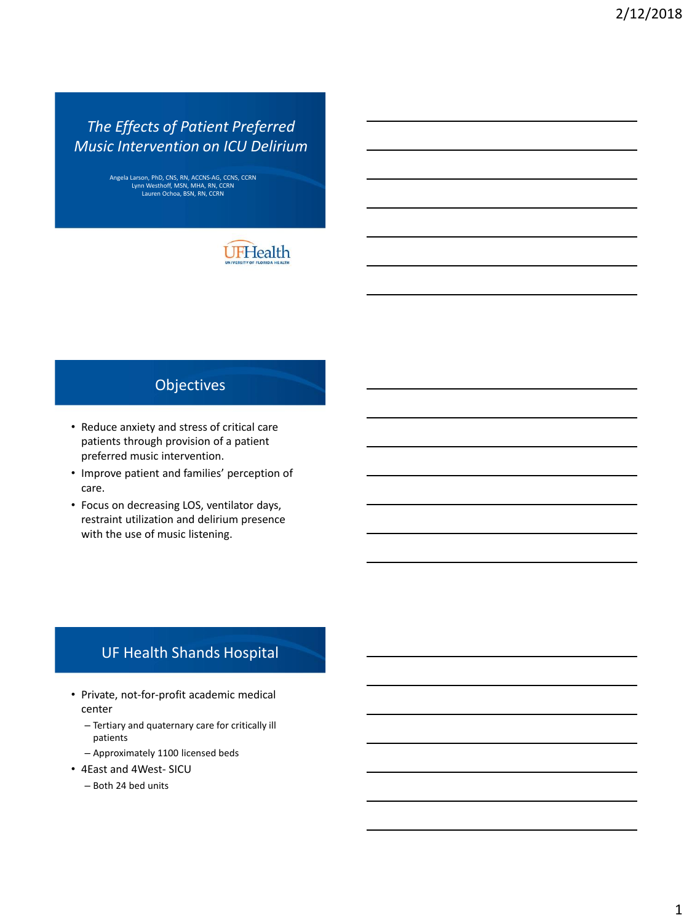# *The Effects of Patient Preferred Music Intervention on ICU Delirium*

Angela Larson, PhD, CNS, RN, ACCNS-AG, CCNS, CCRN Lynn Westhoff, MSN, MHA, RN, CCRN Lauren Ochoa, BSN, RN, CCRN



# **Objectives**

- Reduce anxiety and stress of critical care patients through provision of a patient preferred music intervention.
- Improve patient and families' perception of care.
- Focus on decreasing LOS, ventilator days, restraint utilization and delirium presence with the use of music listening.

### UF Health Shands Hospital

- Private, not-for-profit academic medical center
	- Tertiary and quaternary care for critically ill patients
	- Approximately 1100 licensed beds
- 4East and 4West- SICU
	- Both 24 bed units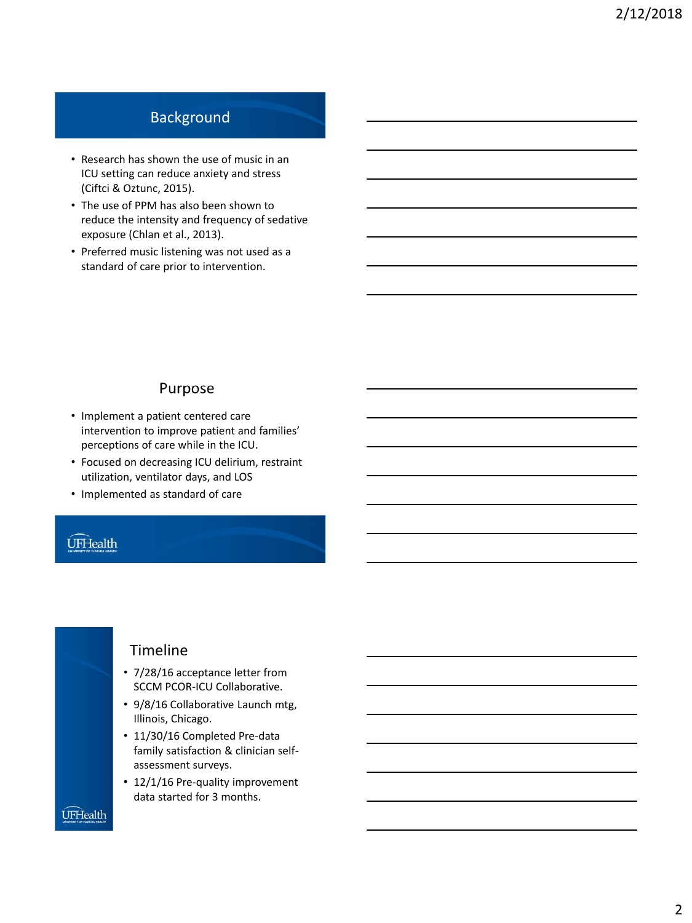# Background

- Research has shown the use of music in an ICU setting can reduce anxiety and stress (Ciftci & Oztunc, 2015).
- The use of PPM has also been shown to reduce the intensity and frequency of sedative exposure (Chlan et al., 2013).
- Preferred music listening was not used as a standard of care prior to intervention.

#### Purpose

- Implement a patient centered care intervention to improve patient and families' perceptions of care while in the ICU.
- Focused on decreasing ICU delirium, restraint utilization, ventilator days, and LOS
- Implemented as standard of care

### **ÚFHealth**



#### Timeline

- 7/28/16 acceptance letter from SCCM PCOR-ICU Collaborative.
- 9/8/16 Collaborative Launch mtg, Illinois, Chicago.
- 11/30/16 Completed Pre-data family satisfaction & clinician selfassessment surveys.
- 12/1/16 Pre-quality improvement data started for 3 months.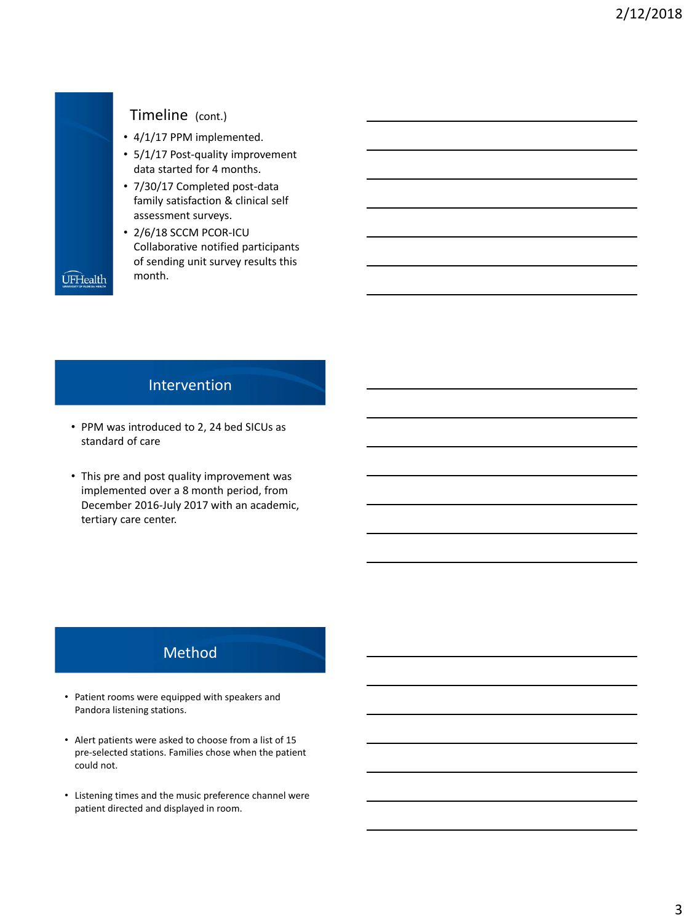

### Timeline (cont.)

- 4/1/17 PPM implemented.
- 5/1/17 Post-quality improvement data started for 4 months.
- 7/30/17 Completed post-data family satisfaction & clinical self assessment surveys.
- 2/6/18 SCCM PCOR-ICU Collaborative notified participants of sending unit survey results this month.

### Intervention

- PPM was introduced to 2, 24 bed SICUs as standard of care
- This pre and post quality improvement was implemented over a 8 month period, from December 2016-July 2017 with an academic, tertiary care center.

# Method

- Patient rooms were equipped with speakers and Pandora listening stations.
- Alert patients were asked to choose from a list of 15 pre-selected stations. Families chose when the patient could not.
- Listening times and the music preference channel were patient directed and displayed in room.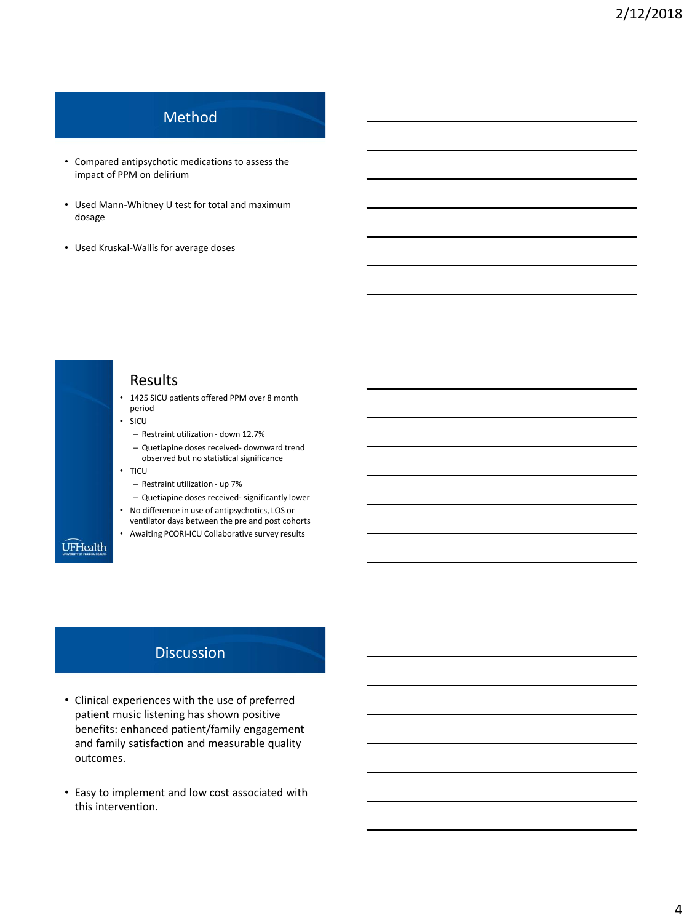# Method

- Compared antipsychotic medications to assess the impact of PPM on delirium
- Used Mann-Whitney U test for total and maximum dosage
- Used Kruskal-Wallis for average doses

#### Results • 1425 SICU patients offered PPM over 8 month period • SICU – Restraint utilization - down 12.7% – Quetiapine doses received- downward trend observed but no statistical significance • TICU – Restraint utilization - up 7% – Quetiapine doses received- significantly lower • No difference in use of antipsychotics, LOS or ventilator days between the pre and post cohorts • Awaiting PCORI-ICU Collaborative survey results **UFHealth**

### **Discussion**

- Clinical experiences with the use of preferred patient music listening has shown positive benefits: enhanced patient/family engagement and family satisfaction and measurable quality outcomes.
- Easy to implement and low cost associated with this intervention.